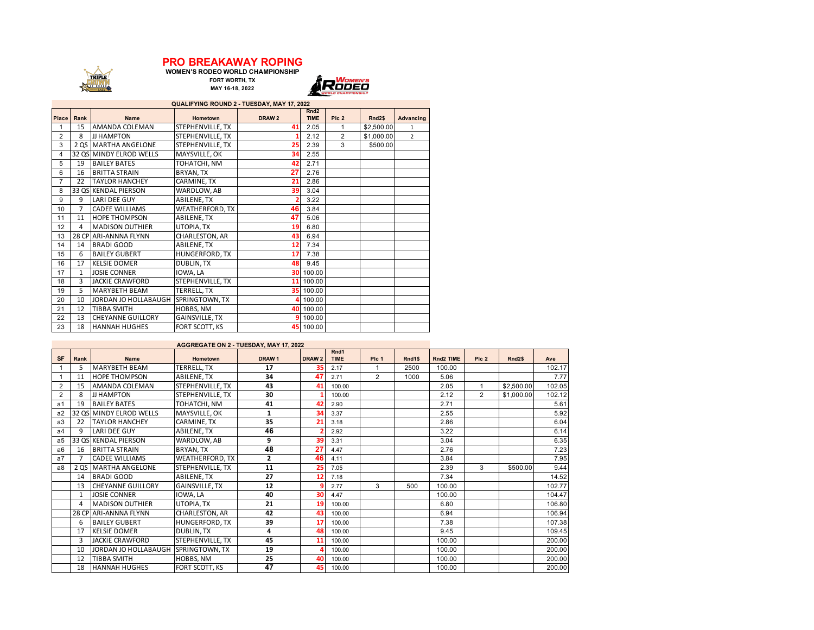## **PRO BREAKAWAY ROPING**

**WOMEN'S RODEO WORLD CHAMPIONSHIP FORT WORTH, TX MAY 16-18, 2022**

TRIPLE

**ALITERATION** 



| QUALIFYING ROUND 2 - TUESDAY, MAY 17, 2022 |              |                          |                   |                   |                                 |                |                    |                |  |  |  |
|--------------------------------------------|--------------|--------------------------|-------------------|-------------------|---------------------------------|----------------|--------------------|----------------|--|--|--|
| <b>Place</b>                               | Rank         | <b>Name</b>              | <b>Hometown</b>   | DRAW <sub>2</sub> | Rnd <sub>2</sub><br><b>TIME</b> | Plc 2          | Rnd <sub>2\$</sub> | Advancing      |  |  |  |
|                                            |              |                          |                   |                   |                                 |                |                    |                |  |  |  |
| 1                                          | 15           | AMANDA COLEMAN           | STEPHENVILLE, TX  | 41                | 2.05                            | 1              | \$2,500.00         | 1              |  |  |  |
| 2                                          | 8            | JJ HAMPTON               | STEPHENVILLE, TX  |                   | 2.12                            | $\overline{2}$ | \$1,000.00         | $\overline{2}$ |  |  |  |
| 3                                          | 2QS          | <b>MARTHA ANGELONE</b>   | STEPHENVILLE, TX  | 25                | 2.39                            | 3              | \$500.00           |                |  |  |  |
| 4                                          |              | 32 QS MINDY ELROD WELLS  | MAYSVILLE, OK     | 34                | 2.55                            |                |                    |                |  |  |  |
| 5                                          | 19           | <b>BAILEY BATES</b>      | TOHATCHI, NM      | 42                | 2.71                            |                |                    |                |  |  |  |
| 6                                          | 16           | <b>BRITTA STRAIN</b>     | BRYAN, TX         | 27                | 2.76                            |                |                    |                |  |  |  |
| 7                                          | 22           | <b>TAYLOR HANCHEY</b>    | CARMINE, TX       | 21                | 2.86                            |                |                    |                |  |  |  |
| 8                                          |              | 33 QS KENDAL PIERSON     | WARDLOW, AB       | 39                | 3.04                            |                |                    |                |  |  |  |
| 9                                          | 9            | LARI DEE GUY             | ABILENE, TX       | $\overline{2}$    | 3.22                            |                |                    |                |  |  |  |
| 10                                         | 7            | <b>CADEE WILLIAMS</b>    | WEATHERFORD, TX   | 46                | 3.84                            |                |                    |                |  |  |  |
| 11                                         | 11           | <b>HOPE THOMPSON</b>     | ABILENE, TX       | 47                | 5.06                            |                |                    |                |  |  |  |
| 12                                         | 4            | <b>MADISON OUTHIER</b>   | UTOPIA, TX        | 19                | 6.80                            |                |                    |                |  |  |  |
| 13                                         |              | 28 CP ARI-ANNNA FLYNN    | CHARLESTON, AR    | 43                | 6.94                            |                |                    |                |  |  |  |
| 14                                         | 14           | <b>BRADI GOOD</b>        | ABILENE, TX       | 12                | 7.34                            |                |                    |                |  |  |  |
| 15                                         | 6            | <b>BAILEY GUBERT</b>     | HUNGERFORD, TX    | 17                | 7.38                            |                |                    |                |  |  |  |
| 16                                         | 17           | <b>KELSIE DOMER</b>      | <b>DUBLIN, TX</b> | 48                | 9.45                            |                |                    |                |  |  |  |
| 17                                         | $\mathbf{1}$ | <b>JOSIE CONNER</b>      | IOWA, LA          |                   | 30 100.00                       |                |                    |                |  |  |  |
| 18                                         | 3            | <b>JACKIE CRAWFORD</b>   | STEPHENVILLE, TX  | 11                | 100.00                          |                |                    |                |  |  |  |
| 19                                         | 5.           | <b>MARYBETH BEAM</b>     | TERRELL, TX       |                   | 35 100.00                       |                |                    |                |  |  |  |
| 20                                         | 10           | JORDAN JO HOLLABAUGH     | SPRINGTOWN, TX    |                   | 100.00                          |                |                    |                |  |  |  |
| 21                                         | 12           | <b>TIBBA SMITH</b>       | HOBBS, NM         |                   | 40 100.00                       |                |                    |                |  |  |  |
| 22                                         | 13           | <b>CHEYANNE GUILLORY</b> | GAINSVILLE, TX    | ٩                 | 100.00                          |                |                    |                |  |  |  |
| 23                                         | 18           | <b>HANNAH HUGHES</b>     | FORT SCOTT, KS    |                   | 45 100.00                       |                |                    |                |  |  |  |

| AGGREGATE ON 2 - TUESDAY, MAY 17, 2022 |      |                          |                        |                   |                   |                     |                  |        |           |       |                    |        |
|----------------------------------------|------|--------------------------|------------------------|-------------------|-------------------|---------------------|------------------|--------|-----------|-------|--------------------|--------|
| <b>SF</b>                              | Rank | <b>Name</b>              | <b>Hometown</b>        | DRAW <sub>1</sub> | DRAW <sub>2</sub> | Rnd1<br><b>TIME</b> | Pic <sub>1</sub> | Rnd1\$ | Rnd2 TIME | Plc 2 | Rnd <sub>2\$</sub> | Ave    |
|                                        | 5    | <b>MARYBETH BEAM</b>     | TERRELL, TX            | 17                | 35                | 2.17                |                  | 2500   | 100.00    |       |                    | 102.17 |
|                                        | 11   | <b>HOPE THOMPSON</b>     | ABILENE, TX            | 34                | 47                | 2.71                | $\overline{2}$   | 1000   | 5.06      |       |                    | 7.77   |
| $\overline{2}$                         | 15   | AMANDA COLEMAN           | STEPHENVILLE, TX       | 43                | 41                | 100.00              |                  |        | 2.05      | 1     | \$2,500.00         | 102.05 |
| $\overline{2}$                         | 8    | <b>JJ HAMPTON</b>        | STEPHENVILLE, TX       | 30                |                   | 100.00              |                  |        | 2.12      | 2     | \$1,000.00         | 102.12 |
| a1                                     | 19   | <b>BAILEY BATES</b>      | TOHATCHI, NM           | 41                | 42                | 2.90                |                  |        | 2.71      |       |                    | 5.61   |
| a <sub>2</sub>                         |      | 32 OS MINDY ELROD WELLS  | MAYSVILLE, OK          | 1                 | 34                | 3.37                |                  |        | 2.55      |       |                    | 5.92   |
| a3                                     | 22   | <b>TAYLOR HANCHEY</b>    | CARMINE, TX            | 35                | 21                | 3.18                |                  |        | 2.86      |       |                    | 6.04   |
| a <sub>4</sub>                         | 9    | <b>LARI DEE GUY</b>      | <b>ABILENE, TX</b>     | 46                |                   | 2.92                |                  |        | 3.22      |       |                    | 6.14   |
| a5                                     |      | 33 QS KENDAL PIERSON     | WARDLOW, AB            | 9                 | 39                | 3.31                |                  |        | 3.04      |       |                    | 6.35   |
| a6                                     | 16   | <b>BRITTA STRAIN</b>     | BRYAN, TX              | 48                | 27                | 4.47                |                  |        | 2.76      |       |                    | 7.23   |
| a7                                     | 7    | <b>CADEE WILLIAMS</b>    | <b>WEATHERFORD, TX</b> | $\overline{2}$    | 46                | 4.11                |                  |        | 3.84      |       |                    | 7.95   |
| a8                                     |      | 2 QS   MARTHA ANGELONE   | STEPHENVILLE, TX       | 11                | 25                | 7.05                |                  |        | 2.39      | 3     | \$500.00           | 9.44   |
|                                        | 14   | <b>BRADI GOOD</b>        | ABILENE, TX            | 27                | 12                | 7.18                |                  |        | 7.34      |       |                    | 14.52  |
|                                        | 13   | <b>CHEYANNE GUILLORY</b> | <b>GAINSVILLE, TX</b>  | 12                |                   | 2.77                | 3                | 500    | 100.00    |       |                    | 102.77 |
|                                        | 1    | <b>JOSIE CONNER</b>      | IOWA, LA               | 40                | 30                | 4.47                |                  |        | 100.00    |       |                    | 104.47 |
|                                        | 4    | <b>MADISON OUTHIER</b>   | UTOPIA. TX             | 21                | 19                | 100.00              |                  |        | 6.80      |       |                    | 106.80 |
|                                        |      | 28 CP ARI-ANNNA FLYNN    | CHARLESTON, AR         | 42                | 43                | 100.00              |                  |        | 6.94      |       |                    | 106.94 |
|                                        | 6    | <b>BAILEY GUBERT</b>     | <b>HUNGERFORD, TX</b>  | 39                | 17                | 100.00              |                  |        | 7.38      |       |                    | 107.38 |
|                                        | 17   | <b>KELSIE DOMER</b>      | <b>DUBLIN. TX</b>      | 4                 | ΔS                | 100.00              |                  |        | 9.45      |       |                    | 109.45 |
|                                        | 3    | <b>JACKIE CRAWFORD</b>   | STEPHENVILLE, TX       | 45                | 11                | 100.00              |                  |        | 100.00    |       |                    | 200.00 |
|                                        | 10   | JORDAN JO HOLLABAUGH     | SPRINGTOWN, TX         | 19                |                   | 100.00              |                  |        | 100.00    |       |                    | 200.00 |
|                                        | 12   | <b>TIBBA SMITH</b>       | <b>HOBBS, NM</b>       | 25                | 40                | 100.00              |                  |        | 100.00    |       |                    | 200.00 |
|                                        | 18   | <b>HANNAH HUGHES</b>     | FORT SCOTT, KS         | 47                | 45                | 100.00              |                  |        | 100.00    |       |                    | 200.00 |